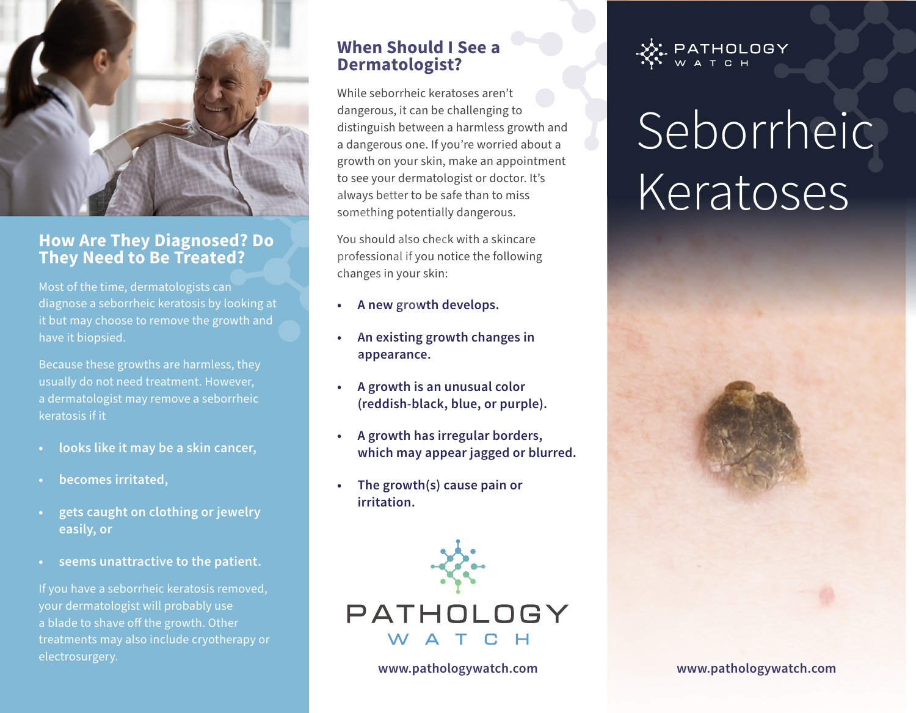

## **How Are They Diagnosed? Do They Need to Be Treated?**

Most of the time, dermatologists can diagnose a seborrheic keratosis by looking at it but may choose to remove the growth and have it biopsied.

Because these growths are harmless, they usually do not need treatment. However, a dermatologist may remove a seborrheic keratosis if it

- **• looks like it may be a skin cancer,**
- **• becomes irritated,**
- **• gets caught on clothing or jewelry easily, or**
- **• seems unattractive to the patient.**

If you have a seborrheic keratosis removed, your dermatologist will probably use a blade to shave off the growth. Other treatments may also include cryotherapy or electrosurgery.

# **When Should I See a Dermatologist?**

While seborrheic keratoses aren't dangerous, it can be challenging to distinguish between a harmless growth and a dangerous one. If you're worried about a growth on your skin, make an appointment to see your dermatologist or doctor. It's always better to be safe than to miss something potentially dangerous.

You should also check with a skincare professional if you notice the following changes in your skin:

- **• A new growth develops.**
- **• An existing growth changes in appearance.**
- **• A growth is an unusual color (reddish-black, blue, or purple).**
- **• A growth has irregular borders, which may appear jagged or blurred.**
- **• The growth(s) cause pain or irritation.**



**www.pathologywatch.com**



# Seborrheic **Keratoses**